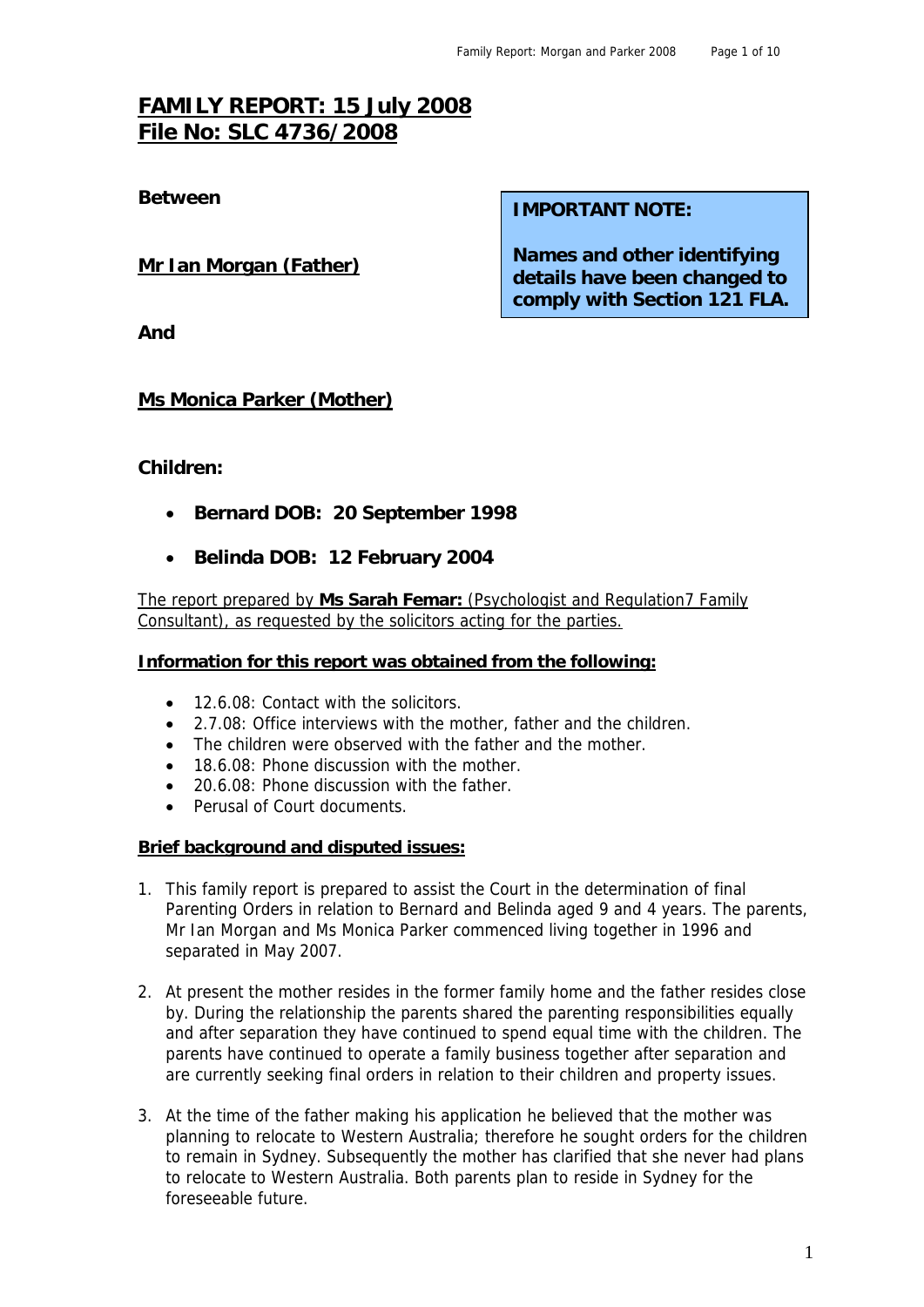# **FAMILY REPORT: 15 July 2008 File No: SLC 4736/2008**

#### **Mr Ian Morgan (Father)**

**Between IMPORTANT NOTE:** 

**Names and other identifying details have been changed to comply with Section 121 FLA.** 

**And** 

#### **Ms Monica Parker (Mother)**

#### **Children:**

- **Bernard DOB: 20 September 1998**
- **Belinda DOB: 12 February 2004**

The report prepared by **Ms Sarah Femar:** (Psychologist and Regulation7 Family Consultant), as requested by the solicitors acting for the parties.

#### **Information for this report was obtained from the following:**

- 12.6.08: Contact with the solicitors.
- 2.7.08: Office interviews with the mother, father and the children.
- The children were observed with the father and the mother.
- 18.6.08: Phone discussion with the mother.
- 20.6.08: Phone discussion with the father
- Perusal of Court documents.

#### **Brief background and disputed issues:**

- 1. This family report is prepared to assist the Court in the determination of final Parenting Orders in relation to Bernard and Belinda aged 9 and 4 years. The parents, Mr Ian Morgan and Ms Monica Parker commenced living together in 1996 and separated in May 2007.
- 2. At present the mother resides in the former family home and the father resides close by. During the relationship the parents shared the parenting responsibilities equally and after separation they have continued to spend equal time with the children. The parents have continued to operate a family business together after separation and are currently seeking final orders in relation to their children and property issues.
- 3. At the time of the father making his application he believed that the mother was planning to relocate to Western Australia; therefore he sought orders for the children to remain in Sydney. Subsequently the mother has clarified that she never had plans to relocate to Western Australia. Both parents plan to reside in Sydney for the foreseeable future.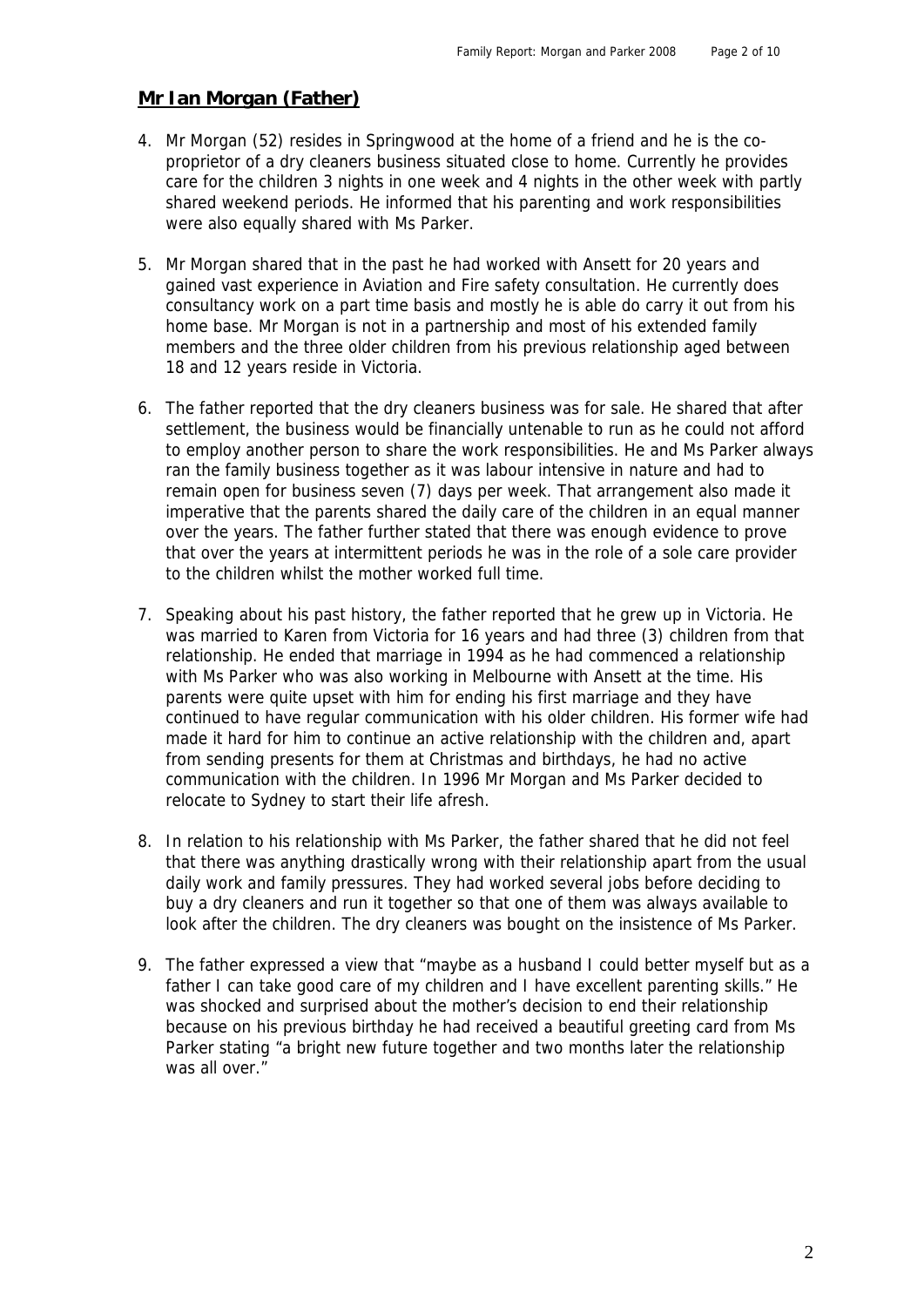#### **Mr Ian Morgan (Father)**

- 4. Mr Morgan (52) resides in Springwood at the home of a friend and he is the coproprietor of a dry cleaners business situated close to home. Currently he provides care for the children 3 nights in one week and 4 nights in the other week with partly shared weekend periods. He informed that his parenting and work responsibilities were also equally shared with Ms Parker.
- 5. Mr Morgan shared that in the past he had worked with Ansett for 20 years and gained vast experience in Aviation and Fire safety consultation. He currently does consultancy work on a part time basis and mostly he is able do carry it out from his home base. Mr Morgan is not in a partnership and most of his extended family members and the three older children from his previous relationship aged between 18 and 12 years reside in Victoria.
- 6. The father reported that the dry cleaners business was for sale. He shared that after settlement, the business would be financially untenable to run as he could not afford to employ another person to share the work responsibilities. He and Ms Parker always ran the family business together as it was labour intensive in nature and had to remain open for business seven (7) days per week. That arrangement also made it imperative that the parents shared the daily care of the children in an equal manner over the years. The father further stated that there was enough evidence to prove that over the years at intermittent periods he was in the role of a sole care provider to the children whilst the mother worked full time.
- 7. Speaking about his past history, the father reported that he grew up in Victoria. He was married to Karen from Victoria for 16 years and had three (3) children from that relationship. He ended that marriage in 1994 as he had commenced a relationship with Ms Parker who was also working in Melbourne with Ansett at the time. His parents were quite upset with him for ending his first marriage and they have continued to have regular communication with his older children. His former wife had made it hard for him to continue an active relationship with the children and, apart from sending presents for them at Christmas and birthdays, he had no active communication with the children. In 1996 Mr Morgan and Ms Parker decided to relocate to Sydney to start their life afresh.
- 8. In relation to his relationship with Ms Parker, the father shared that he did not feel that there was anything drastically wrong with their relationship apart from the usual daily work and family pressures. They had worked several jobs before deciding to buy a dry cleaners and run it together so that one of them was always available to look after the children. The dry cleaners was bought on the insistence of Ms Parker.
- 9. The father expressed a view that "maybe as a husband I could better myself but as a father I can take good care of my children and I have excellent parenting skills." He was shocked and surprised about the mother's decision to end their relationship because on his previous birthday he had received a beautiful greeting card from Ms Parker stating "a bright new future together and two months later the relationship was all over."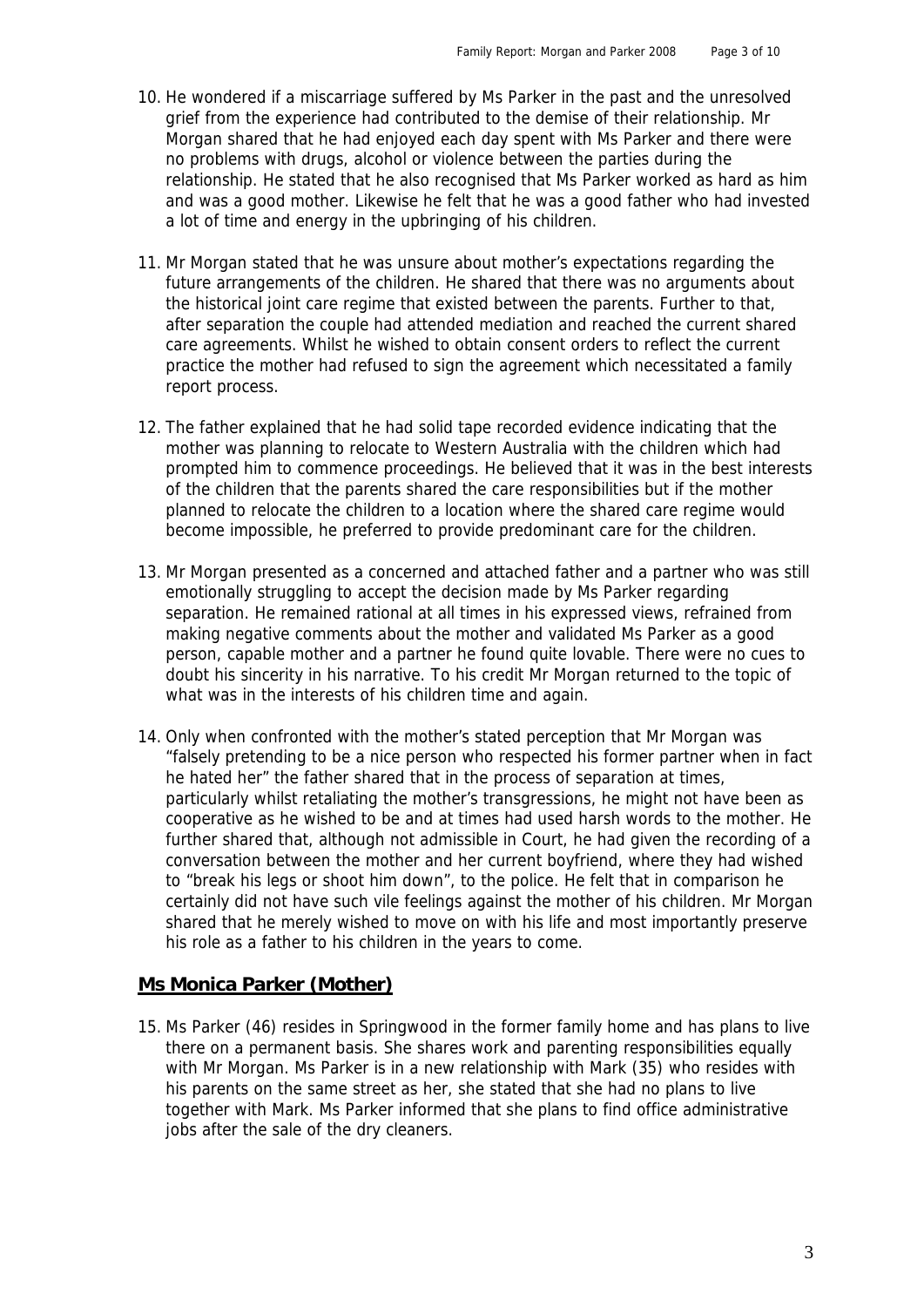- 10. He wondered if a miscarriage suffered by Ms Parker in the past and the unresolved grief from the experience had contributed to the demise of their relationship. Mr Morgan shared that he had enjoyed each day spent with Ms Parker and there were no problems with drugs, alcohol or violence between the parties during the relationship. He stated that he also recognised that Ms Parker worked as hard as him and was a good mother. Likewise he felt that he was a good father who had invested a lot of time and energy in the upbringing of his children.
- 11. Mr Morgan stated that he was unsure about mother's expectations regarding the future arrangements of the children. He shared that there was no arguments about the historical joint care regime that existed between the parents. Further to that, after separation the couple had attended mediation and reached the current shared care agreements. Whilst he wished to obtain consent orders to reflect the current practice the mother had refused to sign the agreement which necessitated a family report process.
- 12. The father explained that he had solid tape recorded evidence indicating that the mother was planning to relocate to Western Australia with the children which had prompted him to commence proceedings. He believed that it was in the best interests of the children that the parents shared the care responsibilities but if the mother planned to relocate the children to a location where the shared care regime would become impossible, he preferred to provide predominant care for the children.
- 13. Mr Morgan presented as a concerned and attached father and a partner who was still emotionally struggling to accept the decision made by Ms Parker regarding separation. He remained rational at all times in his expressed views, refrained from making negative comments about the mother and validated Ms Parker as a good person, capable mother and a partner he found quite lovable. There were no cues to doubt his sincerity in his narrative. To his credit Mr Morgan returned to the topic of what was in the interests of his children time and again.
- 14. Only when confronted with the mother's stated perception that Mr Morgan was "falsely pretending to be a nice person who respected his former partner when in fact he hated her" the father shared that in the process of separation at times, particularly whilst retaliating the mother's transgressions, he might not have been as cooperative as he wished to be and at times had used harsh words to the mother. He further shared that, although not admissible in Court, he had given the recording of a conversation between the mother and her current boyfriend, where they had wished to "break his legs or shoot him down", to the police. He felt that in comparison he certainly did not have such vile feelings against the mother of his children. Mr Morgan shared that he merely wished to move on with his life and most importantly preserve his role as a father to his children in the years to come.

## **Ms Monica Parker (Mother)**

15. Ms Parker (46) resides in Springwood in the former family home and has plans to live there on a permanent basis. She shares work and parenting responsibilities equally with Mr Morgan. Ms Parker is in a new relationship with Mark (35) who resides with his parents on the same street as her, she stated that she had no plans to live together with Mark. Ms Parker informed that she plans to find office administrative jobs after the sale of the dry cleaners.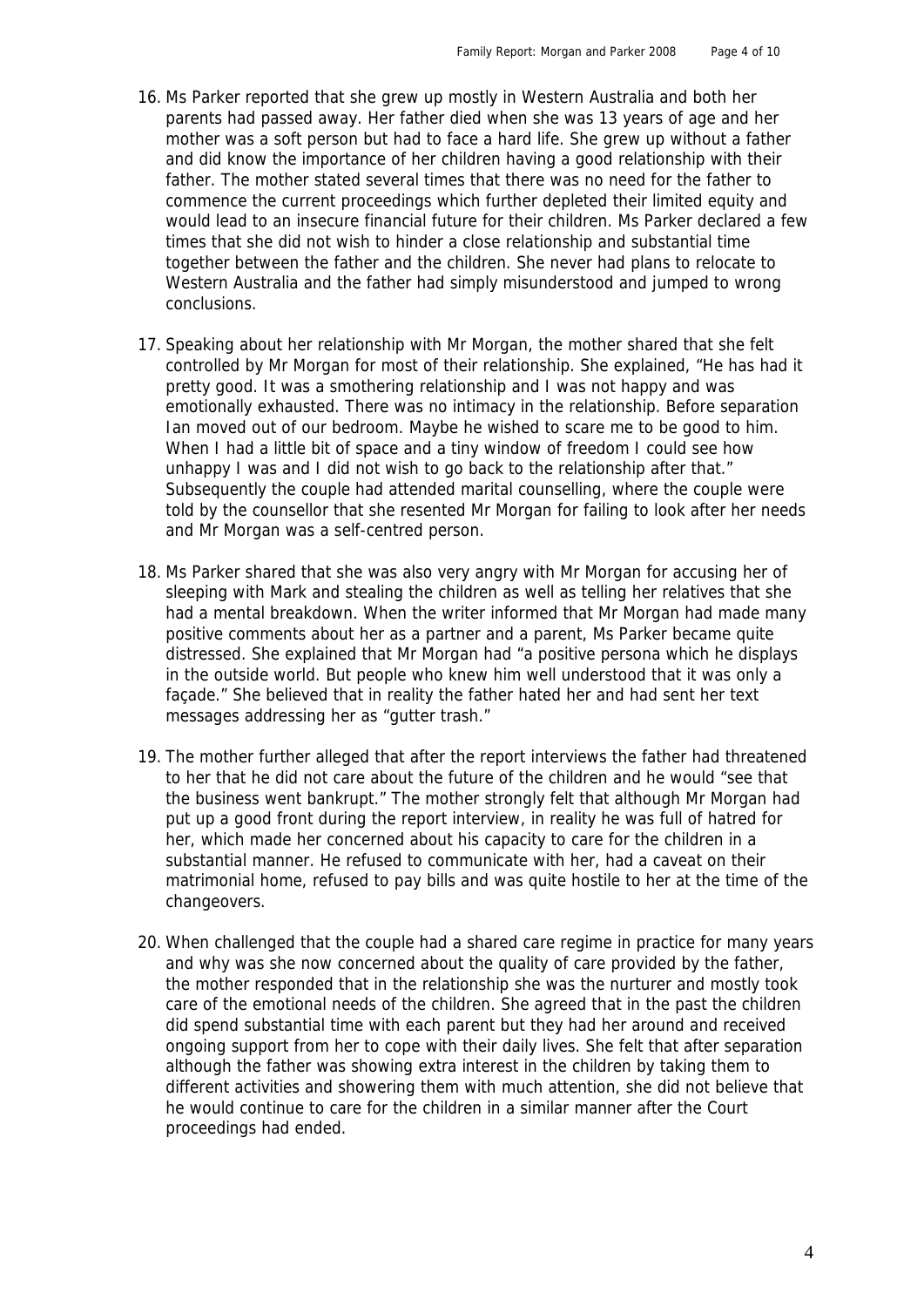- 16. Ms Parker reported that she grew up mostly in Western Australia and both her parents had passed away. Her father died when she was 13 years of age and her mother was a soft person but had to face a hard life. She grew up without a father and did know the importance of her children having a good relationship with their father. The mother stated several times that there was no need for the father to commence the current proceedings which further depleted their limited equity and would lead to an insecure financial future for their children. Ms Parker declared a few times that she did not wish to hinder a close relationship and substantial time together between the father and the children. She never had plans to relocate to Western Australia and the father had simply misunderstood and jumped to wrong conclusions.
- 17. Speaking about her relationship with Mr Morgan, the mother shared that she felt controlled by Mr Morgan for most of their relationship. She explained, "He has had it pretty good. It was a smothering relationship and I was not happy and was emotionally exhausted. There was no intimacy in the relationship. Before separation Ian moved out of our bedroom. Maybe he wished to scare me to be good to him. When I had a little bit of space and a tiny window of freedom I could see how unhappy I was and I did not wish to go back to the relationship after that." Subsequently the couple had attended marital counselling, where the couple were told by the counsellor that she resented Mr Morgan for failing to look after her needs and Mr Morgan was a self-centred person.
- 18. Ms Parker shared that she was also very angry with Mr Morgan for accusing her of sleeping with Mark and stealing the children as well as telling her relatives that she had a mental breakdown. When the writer informed that Mr Morgan had made many positive comments about her as a partner and a parent, Ms Parker became quite distressed. She explained that Mr Morgan had "a positive persona which he displays in the outside world. But people who knew him well understood that it was only a façade." She believed that in reality the father hated her and had sent her text messages addressing her as "gutter trash."
- 19. The mother further alleged that after the report interviews the father had threatened to her that he did not care about the future of the children and he would "see that the business went bankrupt." The mother strongly felt that although Mr Morgan had put up a good front during the report interview, in reality he was full of hatred for her, which made her concerned about his capacity to care for the children in a substantial manner. He refused to communicate with her, had a caveat on their matrimonial home, refused to pay bills and was quite hostile to her at the time of the changeovers.
- 20. When challenged that the couple had a shared care regime in practice for many years and why was she now concerned about the quality of care provided by the father, the mother responded that in the relationship she was the nurturer and mostly took care of the emotional needs of the children. She agreed that in the past the children did spend substantial time with each parent but they had her around and received ongoing support from her to cope with their daily lives. She felt that after separation although the father was showing extra interest in the children by taking them to different activities and showering them with much attention, she did not believe that he would continue to care for the children in a similar manner after the Court proceedings had ended.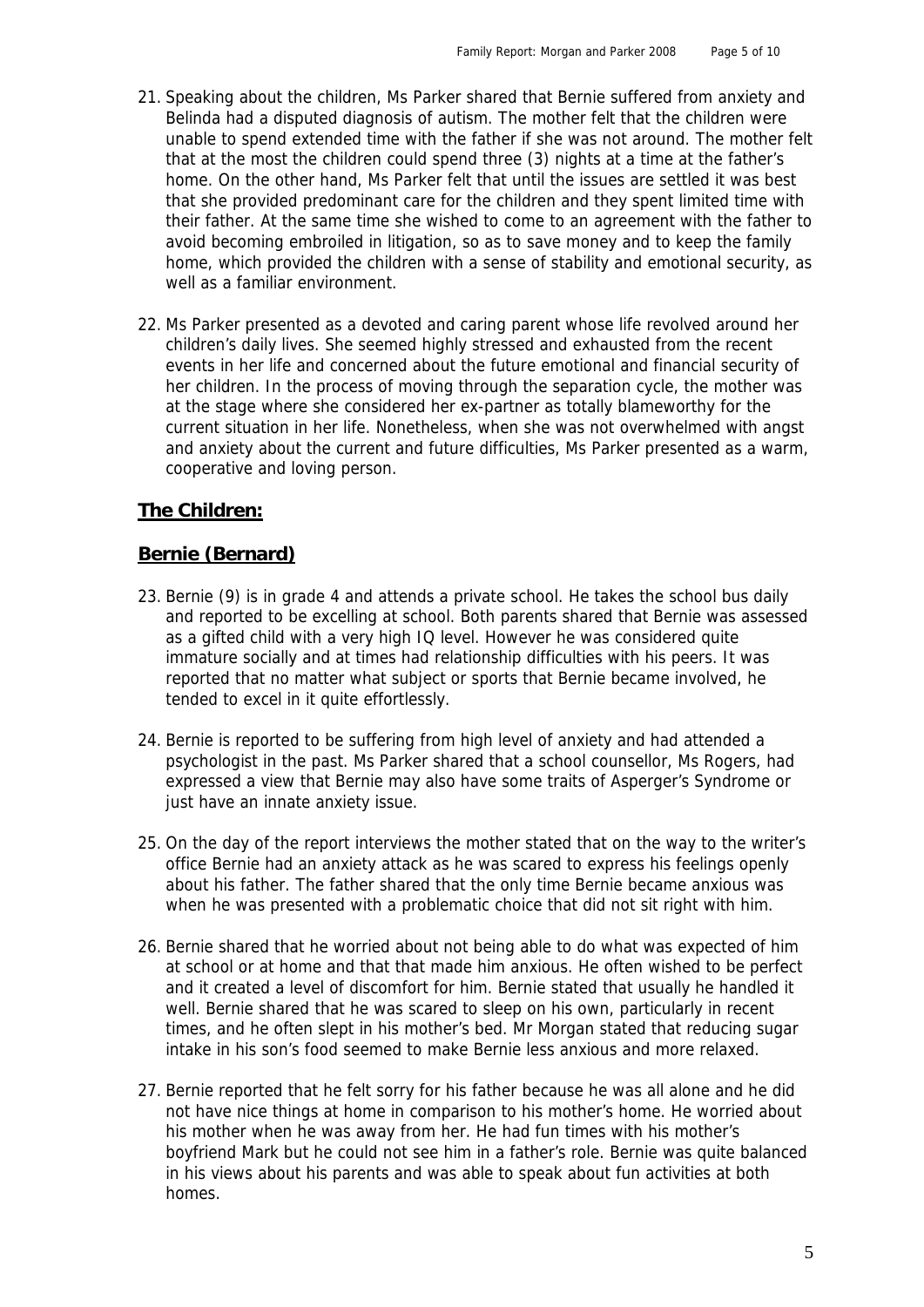- 21. Speaking about the children, Ms Parker shared that Bernie suffered from anxiety and Belinda had a disputed diagnosis of autism. The mother felt that the children were unable to spend extended time with the father if she was not around. The mother felt that at the most the children could spend three (3) nights at a time at the father's home. On the other hand, Ms Parker felt that until the issues are settled it was best that she provided predominant care for the children and they spent limited time with their father. At the same time she wished to come to an agreement with the father to avoid becoming embroiled in litigation, so as to save money and to keep the family home, which provided the children with a sense of stability and emotional security, as well as a familiar environment.
- 22. Ms Parker presented as a devoted and caring parent whose life revolved around her children's daily lives. She seemed highly stressed and exhausted from the recent events in her life and concerned about the future emotional and financial security of her children. In the process of moving through the separation cycle, the mother was at the stage where she considered her ex-partner as totally blameworthy for the current situation in her life. Nonetheless, when she was not overwhelmed with angst and anxiety about the current and future difficulties, Ms Parker presented as a warm, cooperative and loving person.

## **The Children:**

## **Bernie (Bernard)**

- 23. Bernie (9) is in grade 4 and attends a private school. He takes the school bus daily and reported to be excelling at school. Both parents shared that Bernie was assessed as a gifted child with a very high IQ level. However he was considered quite immature socially and at times had relationship difficulties with his peers. It was reported that no matter what subject or sports that Bernie became involved, he tended to excel in it quite effortlessly.
- 24. Bernie is reported to be suffering from high level of anxiety and had attended a psychologist in the past. Ms Parker shared that a school counsellor, Ms Rogers, had expressed a view that Bernie may also have some traits of Asperger's Syndrome or just have an innate anxiety issue.
- 25. On the day of the report interviews the mother stated that on the way to the writer's office Bernie had an anxiety attack as he was scared to express his feelings openly about his father. The father shared that the only time Bernie became anxious was when he was presented with a problematic choice that did not sit right with him.
- 26. Bernie shared that he worried about not being able to do what was expected of him at school or at home and that that made him anxious. He often wished to be perfect and it created a level of discomfort for him. Bernie stated that usually he handled it well. Bernie shared that he was scared to sleep on his own, particularly in recent times, and he often slept in his mother's bed. Mr Morgan stated that reducing sugar intake in his son's food seemed to make Bernie less anxious and more relaxed.
- 27. Bernie reported that he felt sorry for his father because he was all alone and he did not have nice things at home in comparison to his mother's home. He worried about his mother when he was away from her. He had fun times with his mother's boyfriend Mark but he could not see him in a father's role. Bernie was quite balanced in his views about his parents and was able to speak about fun activities at both homes.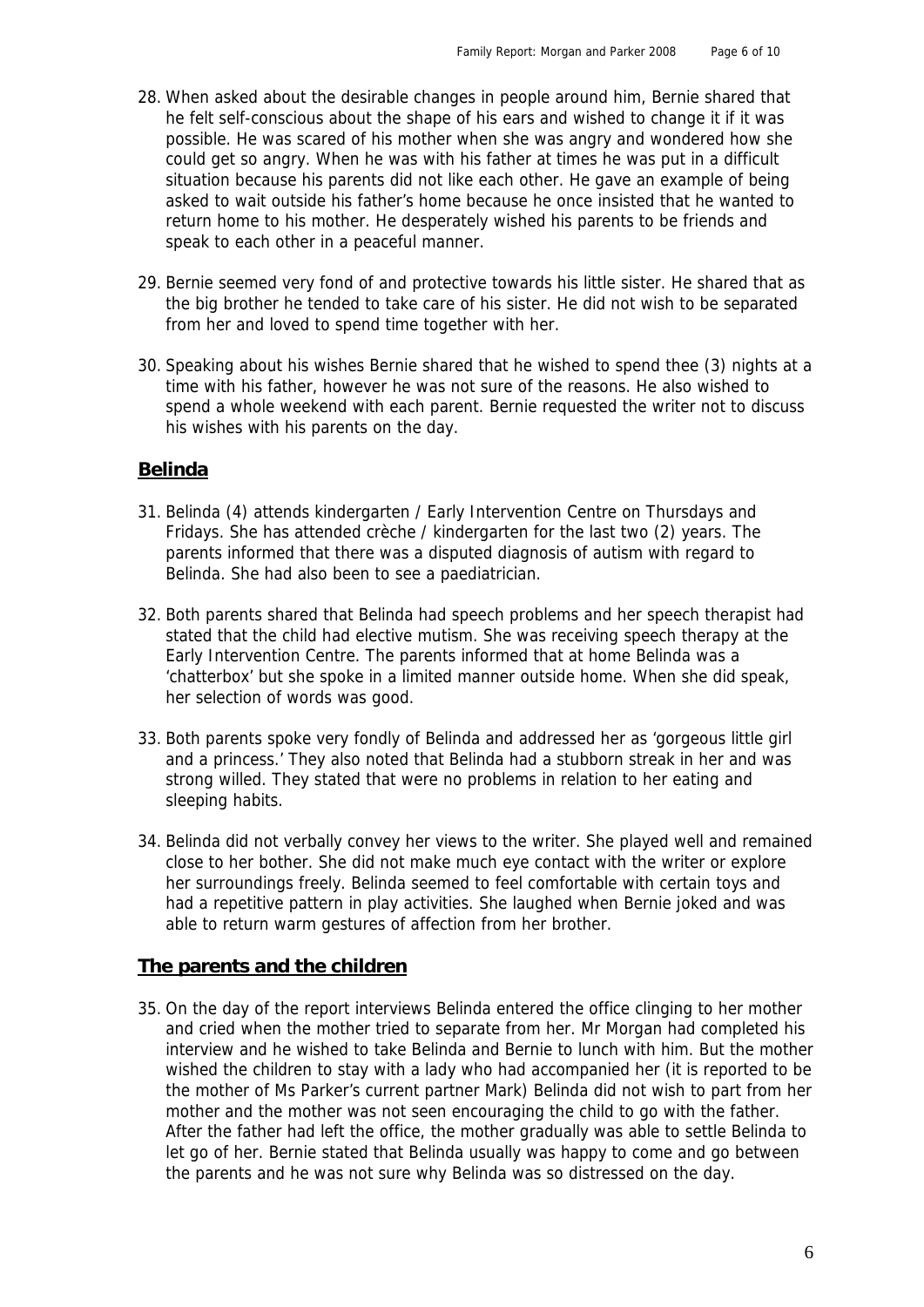- 28. When asked about the desirable changes in people around him, Bernie shared that he felt self-conscious about the shape of his ears and wished to change it if it was possible. He was scared of his mother when she was angry and wondered how she could get so angry. When he was with his father at times he was put in a difficult situation because his parents did not like each other. He gave an example of being asked to wait outside his father's home because he once insisted that he wanted to return home to his mother. He desperately wished his parents to be friends and speak to each other in a peaceful manner.
- 29. Bernie seemed very fond of and protective towards his little sister. He shared that as the big brother he tended to take care of his sister. He did not wish to be separated from her and loved to spend time together with her.
- 30. Speaking about his wishes Bernie shared that he wished to spend thee (3) nights at a time with his father, however he was not sure of the reasons. He also wished to spend a whole weekend with each parent. Bernie requested the writer not to discuss his wishes with his parents on the day.

## **Belinda**

- 31. Belinda (4) attends kindergarten / Early Intervention Centre on Thursdays and Fridays. She has attended crèche / kindergarten for the last two (2) years. The parents informed that there was a disputed diagnosis of autism with regard to Belinda. She had also been to see a paediatrician.
- 32. Both parents shared that Belinda had speech problems and her speech therapist had stated that the child had elective mutism. She was receiving speech therapy at the Early Intervention Centre. The parents informed that at home Belinda was a 'chatterbox' but she spoke in a limited manner outside home. When she did speak, her selection of words was good.
- 33. Both parents spoke very fondly of Belinda and addressed her as 'gorgeous little girl and a princess.' They also noted that Belinda had a stubborn streak in her and was strong willed. They stated that were no problems in relation to her eating and sleeping habits.
- 34. Belinda did not verbally convey her views to the writer. She played well and remained close to her bother. She did not make much eye contact with the writer or explore her surroundings freely. Belinda seemed to feel comfortable with certain toys and had a repetitive pattern in play activities. She laughed when Bernie joked and was able to return warm gestures of affection from her brother.

# **The parents and the children**

35. On the day of the report interviews Belinda entered the office clinging to her mother and cried when the mother tried to separate from her. Mr Morgan had completed his interview and he wished to take Belinda and Bernie to lunch with him. But the mother wished the children to stay with a lady who had accompanied her (it is reported to be the mother of Ms Parker's current partner Mark) Belinda did not wish to part from her mother and the mother was not seen encouraging the child to go with the father. After the father had left the office, the mother gradually was able to settle Belinda to let go of her. Bernie stated that Belinda usually was happy to come and go between the parents and he was not sure why Belinda was so distressed on the day.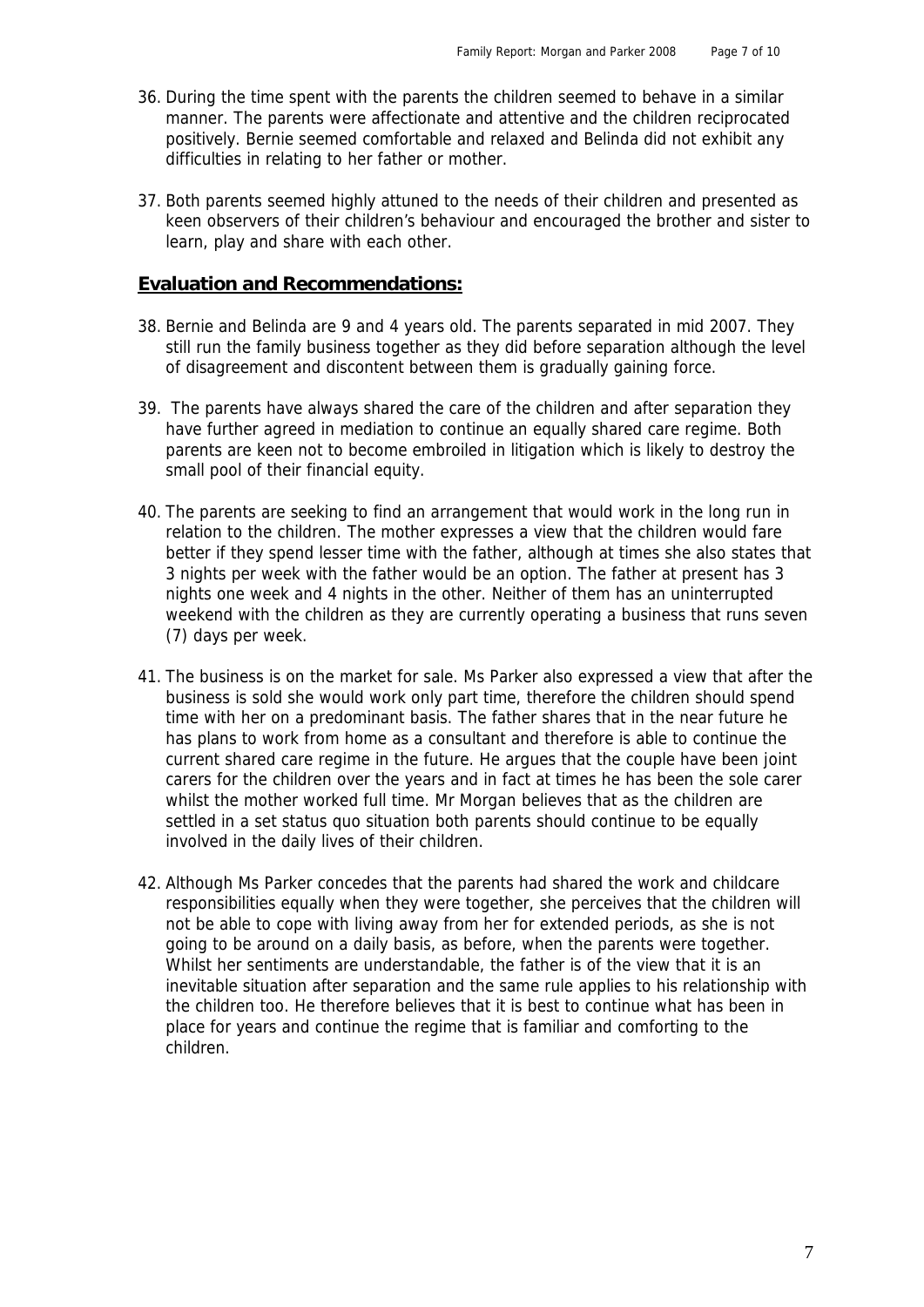- 36. During the time spent with the parents the children seemed to behave in a similar manner. The parents were affectionate and attentive and the children reciprocated positively. Bernie seemed comfortable and relaxed and Belinda did not exhibit any difficulties in relating to her father or mother.
- 37. Both parents seemed highly attuned to the needs of their children and presented as keen observers of their children's behaviour and encouraged the brother and sister to learn, play and share with each other.

#### **Evaluation and Recommendations:**

- 38. Bernie and Belinda are 9 and 4 years old. The parents separated in mid 2007. They still run the family business together as they did before separation although the level of disagreement and discontent between them is gradually gaining force.
- 39. The parents have always shared the care of the children and after separation they have further agreed in mediation to continue an equally shared care regime. Both parents are keen not to become embroiled in litigation which is likely to destroy the small pool of their financial equity.
- 40. The parents are seeking to find an arrangement that would work in the long run in relation to the children. The mother expresses a view that the children would fare better if they spend lesser time with the father, although at times she also states that 3 nights per week with the father would be an option. The father at present has 3 nights one week and 4 nights in the other. Neither of them has an uninterrupted weekend with the children as they are currently operating a business that runs seven (7) days per week.
- 41. The business is on the market for sale. Ms Parker also expressed a view that after the business is sold she would work only part time, therefore the children should spend time with her on a predominant basis. The father shares that in the near future he has plans to work from home as a consultant and therefore is able to continue the current shared care regime in the future. He argues that the couple have been joint carers for the children over the years and in fact at times he has been the sole carer whilst the mother worked full time. Mr Morgan believes that as the children are settled in a set status quo situation both parents should continue to be equally involved in the daily lives of their children.
- 42. Although Ms Parker concedes that the parents had shared the work and childcare responsibilities equally when they were together, she perceives that the children will not be able to cope with living away from her for extended periods, as she is not going to be around on a daily basis, as before, when the parents were together. Whilst her sentiments are understandable, the father is of the view that it is an inevitable situation after separation and the same rule applies to his relationship with the children too. He therefore believes that it is best to continue what has been in place for years and continue the regime that is familiar and comforting to the children.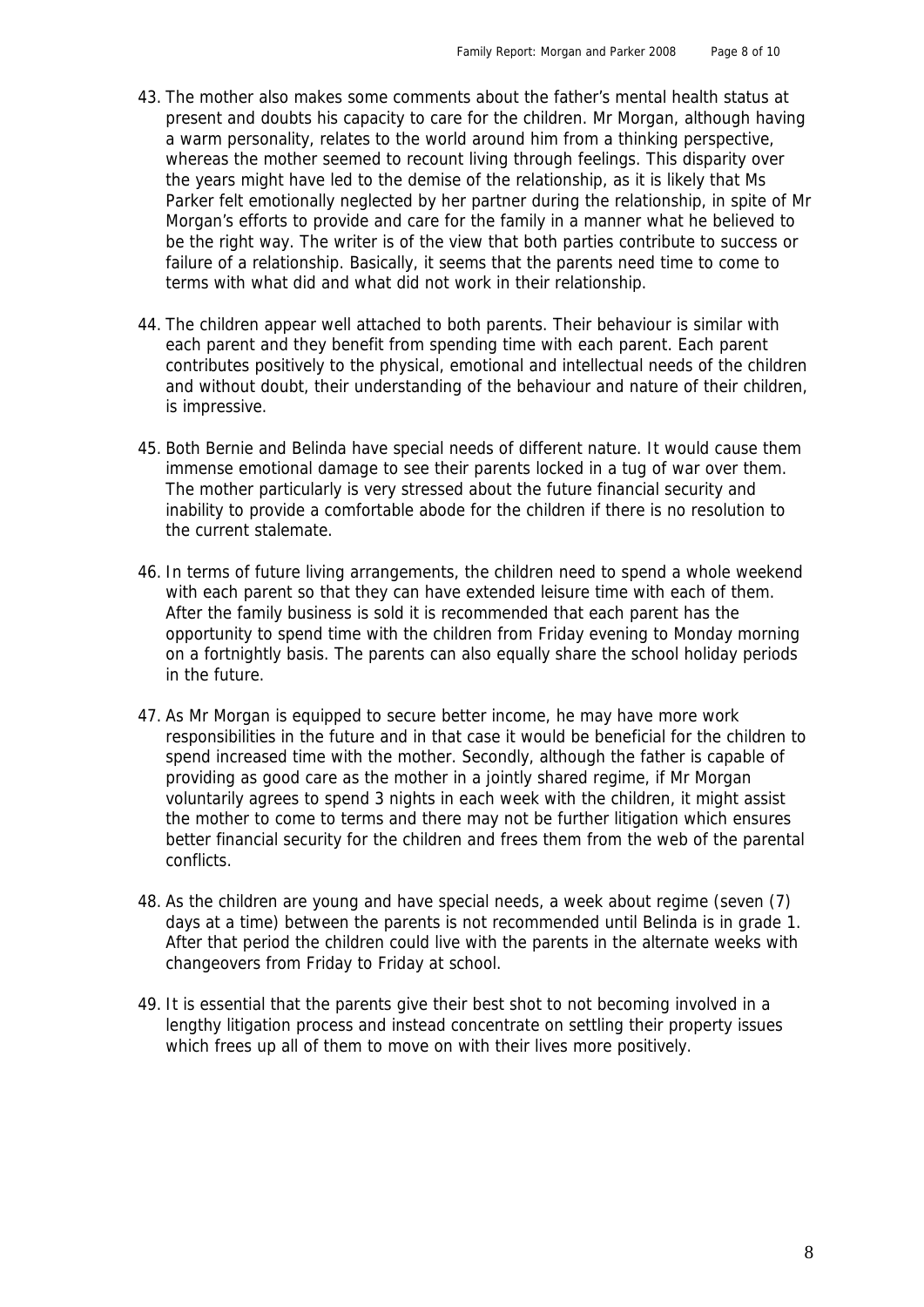- 43. The mother also makes some comments about the father's mental health status at present and doubts his capacity to care for the children. Mr Morgan, although having a warm personality, relates to the world around him from a thinking perspective, whereas the mother seemed to recount living through feelings. This disparity over the years might have led to the demise of the relationship, as it is likely that Ms Parker felt emotionally neglected by her partner during the relationship, in spite of Mr Morgan's efforts to provide and care for the family in a manner what he believed to be the right way. The writer is of the view that both parties contribute to success or failure of a relationship. Basically, it seems that the parents need time to come to terms with what did and what did not work in their relationship.
- 44. The children appear well attached to both parents. Their behaviour is similar with each parent and they benefit from spending time with each parent. Each parent contributes positively to the physical, emotional and intellectual needs of the children and without doubt, their understanding of the behaviour and nature of their children, is impressive.
- 45. Both Bernie and Belinda have special needs of different nature. It would cause them immense emotional damage to see their parents locked in a tug of war over them. The mother particularly is very stressed about the future financial security and inability to provide a comfortable abode for the children if there is no resolution to the current stalemate.
- 46. In terms of future living arrangements, the children need to spend a whole weekend with each parent so that they can have extended leisure time with each of them. After the family business is sold it is recommended that each parent has the opportunity to spend time with the children from Friday evening to Monday morning on a fortnightly basis. The parents can also equally share the school holiday periods in the future.
- 47. As Mr Morgan is equipped to secure better income, he may have more work responsibilities in the future and in that case it would be beneficial for the children to spend increased time with the mother. Secondly, although the father is capable of providing as good care as the mother in a jointly shared regime, if Mr Morgan voluntarily agrees to spend 3 nights in each week with the children, it might assist the mother to come to terms and there may not be further litigation which ensures better financial security for the children and frees them from the web of the parental conflicts.
- 48. As the children are young and have special needs, a week about regime (seven (7) days at a time) between the parents is not recommended until Belinda is in grade 1. After that period the children could live with the parents in the alternate weeks with changeovers from Friday to Friday at school.
- 49. It is essential that the parents give their best shot to not becoming involved in a lengthy litigation process and instead concentrate on settling their property issues which frees up all of them to move on with their lives more positively.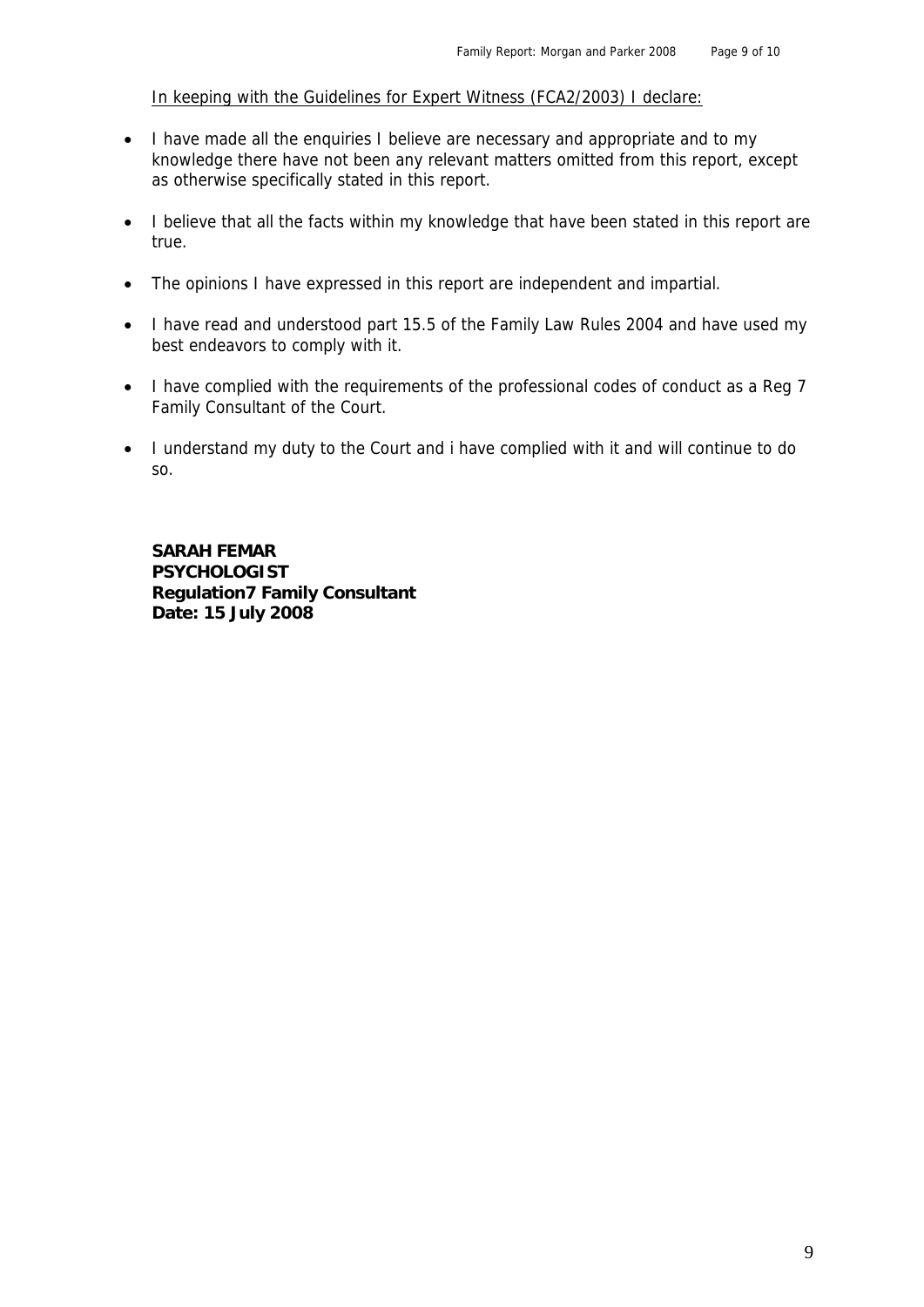In keeping with the Guidelines for Expert Witness (FCA2/2003) I declare:

- I have made all the enquiries I believe are necessary and appropriate and to my knowledge there have not been any relevant matters omitted from this report, except as otherwise specifically stated in this report.
- I believe that all the facts within my knowledge that have been stated in this report are true.
- The opinions I have expressed in this report are independent and impartial.
- I have read and understood part 15.5 of the Family Law Rules 2004 and have used my best endeavors to comply with it.
- I have complied with the requirements of the professional codes of conduct as a Reg 7 Family Consultant of the Court.
- I understand my duty to the Court and i have complied with it and will continue to do so.

 **SARAH FEMAR PSYCHOLOGIST Regulation7 Family Consultant Date: 15 July 2008**